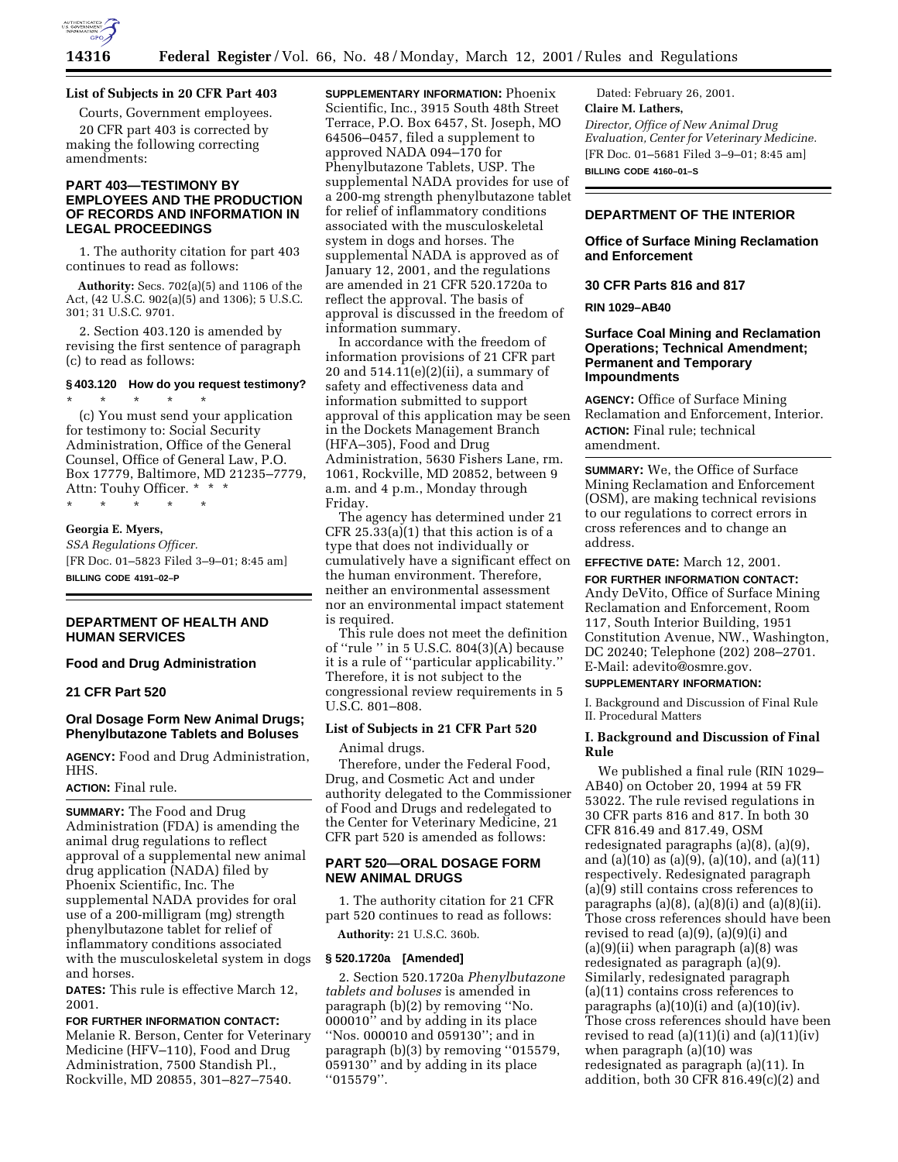

# **14316 Federal Register** / Vol. 66, No. 48 / Monday, March 12, 2001 / Rules and Regulations

# **List of Subjects in 20 CFR Part 403**

Courts, Government employees. 20 CFR part 403 is corrected by making the following correcting amendments:

# **PART 403—TESTIMONY BY EMPLOYEES AND THE PRODUCTION OF RECORDS AND INFORMATION IN LEGAL PROCEEDINGS**

1. The authority citation for part 403 continues to read as follows:

**Authority:** Secs. 702(a)(5) and 1106 of the Act, (42 U.S.C. 902(a)(5) and 1306); 5 U.S.C. 301; 31 U.S.C. 9701.

2. Section 403.120 is amended by revising the first sentence of paragraph (c) to read as follows:

# **§ 403.120 How do you request testimony?**

\* \* \* \* \* (c) You must send your application for testimony to: Social Security Administration, Office of the General Counsel, Office of General Law, P.O. Box 17779, Baltimore, MD 21235–7779, Attn: Touhy Officer. \* \* \* \* \* \* \* \*

#### **Georgia E. Myers,**

*SSA Regulations Officer.* [FR Doc. 01–5823 Filed 3–9–01; 8:45 am] **BILLING CODE 4191–02–P**

### **DEPARTMENT OF HEALTH AND HUMAN SERVICES**

# **Food and Drug Administration**

# **21 CFR Part 520**

# **Oral Dosage Form New Animal Drugs; Phenylbutazone Tablets and Boluses**

**AGENCY:** Food and Drug Administration, HHS.

### **ACTION:** Final rule.

**SUMMARY:** The Food and Drug Administration (FDA) is amending the animal drug regulations to reflect approval of a supplemental new animal drug application (NADA) filed by Phoenix Scientific, Inc. The supplemental NADA provides for oral use of a 200-milligram (mg) strength phenylbutazone tablet for relief of inflammatory conditions associated with the musculoskeletal system in dogs and horses.

**DATES:** This rule is effective March 12, 2001.

**FOR FURTHER INFORMATION CONTACT:** Melanie R. Berson, Center for Veterinary Medicine (HFV–110), Food and Drug Administration, 7500 Standish Pl., Rockville, MD 20855, 301–827–7540.

**SUPPLEMENTARY INFORMATION:** Phoenix Scientific, Inc., 3915 South 48th Street Terrace, P.O. Box 6457, St. Joseph, MO 64506–0457, filed a supplement to approved NADA 094–170 for Phenylbutazone Tablets, USP. The supplemental NADA provides for use of a 200-mg strength phenylbutazone tablet for relief of inflammatory conditions associated with the musculoskeletal system in dogs and horses. The supplemental NADA is approved as of January 12, 2001, and the regulations are amended in 21 CFR 520.1720a to reflect the approval. The basis of approval is discussed in the freedom of information summary.

In accordance with the freedom of information provisions of 21 CFR part 20 and  $514.11(e)(2)(ii)$ , a summary of safety and effectiveness data and information submitted to support approval of this application may be seen in the Dockets Management Branch (HFA–305), Food and Drug Administration, 5630 Fishers Lane, rm. 1061, Rockville, MD 20852, between 9 a.m. and 4 p.m., Monday through Friday.

The agency has determined under 21 CFR  $25.33(a)(1)$  that this action is of a type that does not individually or cumulatively have a significant effect on the human environment. Therefore, neither an environmental assessment nor an environmental impact statement is required.

This rule does not meet the definition of ''rule '' in 5 U.S.C. 804(3)(A) because it is a rule of ''particular applicability.'' Therefore, it is not subject to the congressional review requirements in 5 U.S.C. 801–808.

# **List of Subjects in 21 CFR Part 520**

Animal drugs.

Therefore, under the Federal Food, Drug, and Cosmetic Act and under authority delegated to the Commissioner of Food and Drugs and redelegated to the Center for Veterinary Medicine, 21 CFR part 520 is amended as follows:

# **PART 520—ORAL DOSAGE FORM NEW ANIMAL DRUGS**

1. The authority citation for 21 CFR part 520 continues to read as follows:

**Authority:** 21 U.S.C. 360b.

# **§ 520.1720a [Amended]**

2. Section 520.1720a *Phenylbutazone tablets and boluses* is amended in paragraph (b)(2) by removing ''No. 000010'' and by adding in its place ''Nos. 000010 and 059130''; and in paragraph (b)(3) by removing ''015579, 059130'' and by adding in its place ''015579''.

Dated: February 26, 2001. **Claire M. Lathers,** *Director, Office of New Animal Drug Evaluation, Center for Veterinary Medicine.* [FR Doc. 01–5681 Filed 3–9–01; 8:45 am] **BILLING CODE 4160–01–S**

# **DEPARTMENT OF THE INTERIOR**

#### **Office of Surface Mining Reclamation and Enforcement**

#### **30 CFR Parts 816 and 817**

# **RIN 1029–AB40**

# **Surface Coal Mining and Reclamation Operations; Technical Amendment; Permanent and Temporary Impoundments**

**AGENCY:** Office of Surface Mining Reclamation and Enforcement, Interior. **ACTION:** Final rule; technical amendment.

**SUMMARY:** We, the Office of Surface Mining Reclamation and Enforcement (OSM), are making technical revisions to our regulations to correct errors in cross references and to change an address.

**EFFECTIVE DATE:** March 12, 2001.

**FOR FURTHER INFORMATION CONTACT:** Andy DeVito, Office of Surface Mining Reclamation and Enforcement, Room 117, South Interior Building, 1951 Constitution Avenue, NW., Washington, DC 20240; Telephone (202) 208–2701. E-Mail: adevito@osmre.gov.

### **SUPPLEMENTARY INFORMATION:**

I. Background and Discussion of Final Rule II. Procedural Matters

# **I. Background and Discussion of Final Rule**

We published a final rule (RIN 1029– AB40) on October 20, 1994 at 59 FR 53022. The rule revised regulations in 30 CFR parts 816 and 817. In both 30 CFR 816.49 and 817.49, OSM redesignated paragraphs (a)(8), (a)(9), and (a)(10) as (a)(9), (a)(10), and (a)(11) respectively. Redesignated paragraph (a)(9) still contains cross references to paragraphs (a) $(8)$ , (a) $(8)(i)$  and (a) $(8)(ii)$ . Those cross references should have been revised to read (a)(9), (a)(9)(i) and  $(a)(9)(ii)$  when paragraph  $(a)(8)$  was redesignated as paragraph (a)(9). Similarly, redesignated paragraph (a)(11) contains cross references to paragraphs  $(a)(10)(i)$  and  $(a)(10)(iv)$ . Those cross references should have been revised to read  $(a)(11)(i)$  and  $(a)(11)(iv)$ when paragraph (a)(10) was redesignated as paragraph (a)(11). In addition, both 30 CFR 816.49(c)(2) and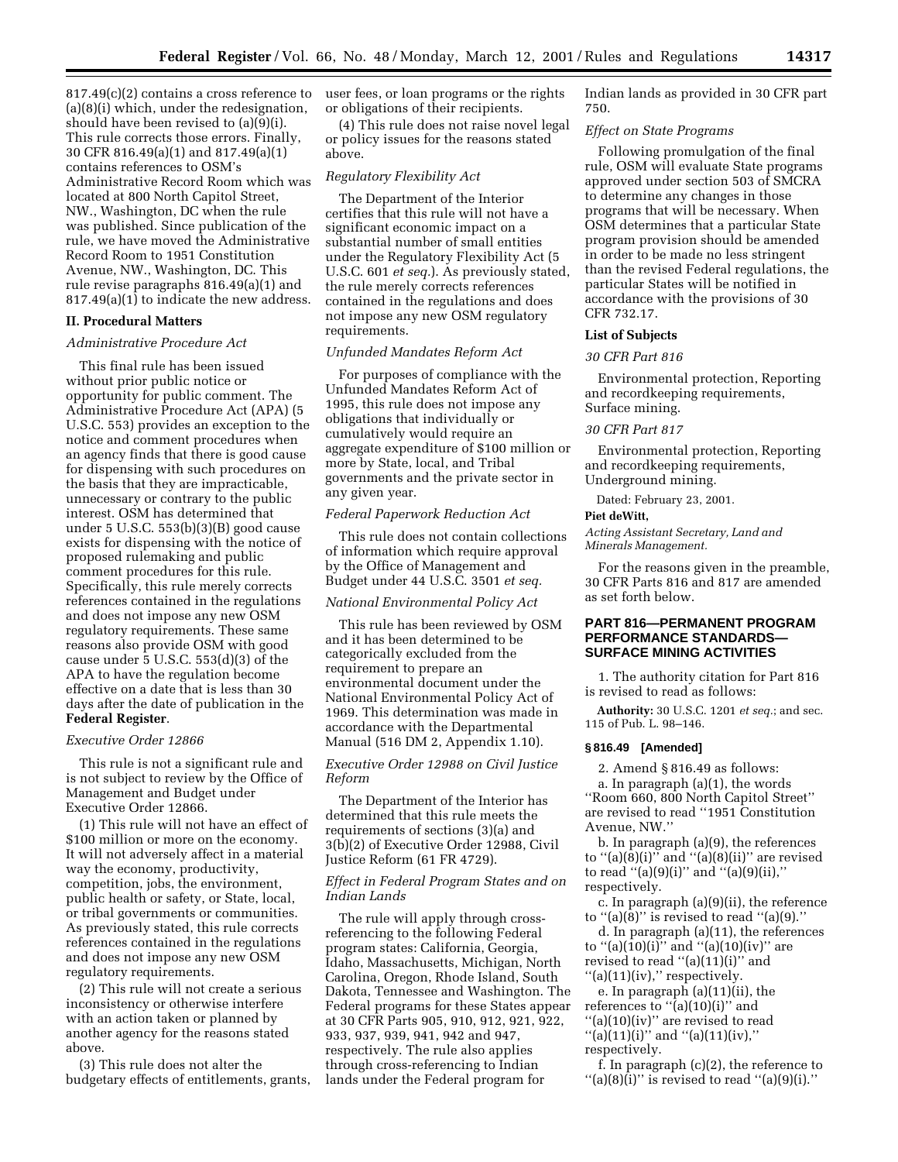817.49(c)(2) contains a cross reference to (a)(8)(i) which, under the redesignation, should have been revised to (a)(9)(i). This rule corrects those errors. Finally, 30 CFR 816.49(a)(1) and 817.49(a)(1) contains references to OSM's Administrative Record Room which was located at 800 North Capitol Street, NW., Washington, DC when the rule was published. Since publication of the rule, we have moved the Administrative Record Room to 1951 Constitution Avenue, NW., Washington, DC. This rule revise paragraphs 816.49(a)(1) and 817.49(a)(1) to indicate the new address.

# **II. Procedural Matters**

#### *Administrative Procedure Act*

This final rule has been issued without prior public notice or opportunity for public comment. The Administrative Procedure Act (APA) (5 U.S.C. 553) provides an exception to the notice and comment procedures when an agency finds that there is good cause for dispensing with such procedures on the basis that they are impracticable, unnecessary or contrary to the public interest. OSM has determined that under 5 U.S.C. 553(b)(3)(B) good cause exists for dispensing with the notice of proposed rulemaking and public comment procedures for this rule. Specifically, this rule merely corrects references contained in the regulations and does not impose any new OSM regulatory requirements. These same reasons also provide OSM with good cause under 5 U.S.C. 553(d)(3) of the APA to have the regulation become effective on a date that is less than 30 days after the date of publication in the **Federal Register**.

#### *Executive Order 12866*

This rule is not a significant rule and is not subject to review by the Office of Management and Budget under Executive Order 12866.

(1) This rule will not have an effect of \$100 million or more on the economy. It will not adversely affect in a material way the economy, productivity, competition, jobs, the environment, public health or safety, or State, local, or tribal governments or communities. As previously stated, this rule corrects references contained in the regulations and does not impose any new OSM regulatory requirements.

(2) This rule will not create a serious inconsistency or otherwise interfere with an action taken or planned by another agency for the reasons stated above.

(3) This rule does not alter the budgetary effects of entitlements, grants, user fees, or loan programs or the rights or obligations of their recipients.

(4) This rule does not raise novel legal or policy issues for the reasons stated above.

#### *Regulatory Flexibility Act*

The Department of the Interior certifies that this rule will not have a significant economic impact on a substantial number of small entities under the Regulatory Flexibility Act (5 U.S.C. 601 *et seq.*). As previously stated, the rule merely corrects references contained in the regulations and does not impose any new OSM regulatory requirements.

#### *Unfunded Mandates Reform Act*

For purposes of compliance with the Unfunded Mandates Reform Act of 1995, this rule does not impose any obligations that individually or cumulatively would require an aggregate expenditure of \$100 million or more by State, local, and Tribal governments and the private sector in any given year.

#### *Federal Paperwork Reduction Act*

This rule does not contain collections of information which require approval by the Office of Management and Budget under 44 U.S.C. 3501 *et seq.*

#### *National Environmental Policy Act*

This rule has been reviewed by OSM and it has been determined to be categorically excluded from the requirement to prepare an environmental document under the National Environmental Policy Act of 1969. This determination was made in accordance with the Departmental Manual (516 DM 2, Appendix 1.10).

# *Executive Order 12988 on Civil Justice Reform*

The Department of the Interior has determined that this rule meets the requirements of sections (3)(a) and 3(b)(2) of Executive Order 12988, Civil Justice Reform (61 FR 4729).

#### *Effect in Federal Program States and on Indian Lands*

The rule will apply through crossreferencing to the following Federal program states: California, Georgia, Idaho, Massachusetts, Michigan, North Carolina, Oregon, Rhode Island, South Dakota, Tennessee and Washington. The Federal programs for these States appear at 30 CFR Parts 905, 910, 912, 921, 922, 933, 937, 939, 941, 942 and 947, respectively. The rule also applies through cross-referencing to Indian lands under the Federal program for

Indian lands as provided in 30 CFR part 750.

# *Effect on State Programs*

Following promulgation of the final rule, OSM will evaluate State programs approved under section 503 of SMCRA to determine any changes in those programs that will be necessary. When OSM determines that a particular State program provision should be amended in order to be made no less stringent than the revised Federal regulations, the particular States will be notified in accordance with the provisions of 30 CFR 732.17.

# **List of Subjects**

#### *30 CFR Part 816*

Environmental protection, Reporting and recordkeeping requirements, Surface mining.

#### *30 CFR Part 817*

Environmental protection, Reporting and recordkeeping requirements, Underground mining.

Dated: February 23, 2001.

#### **Piet deWitt,**

*Acting Assistant Secretary, Land and Minerals Management.*

For the reasons given in the preamble, 30 CFR Parts 816 and 817 are amended as set forth below.

# **PART 816—PERMANENT PROGRAM PERFORMANCE STANDARDS— SURFACE MINING ACTIVITIES**

1. The authority citation for Part 816 is revised to read as follows:

**Authority:** 30 U.S.C. 1201 *et seq.*; and sec. 115 of Pub. L. 98–146.

# **§ 816.49 [Amended]**

2. Amend § 816.49 as follows: a. In paragraph (a)(1), the words ''Room 660, 800 North Capitol Street'' are revised to read ''1951 Constitution Avenue, NW.''

b. In paragraph (a)(9), the references to " $(a)(\overline{8})(i)$ " and " $(a)(\overline{8})(ii)$ " are revised to read "(a)(9)(i)" and "(a)(9)(ii)," respectively.

c. In paragraph (a)(9)(ii), the reference to " $(a)(8)$ " is revised to read " $(a)(9)$ ."

d. In paragraph (a)(11), the references to ''(a)(10)(i)'' and ''(a)(10)(iv)'' are revised to read "(a)(11)(i)" and ''(a)(11)(iv),'' respectively.

e. In paragraph (a)(11)(ii), the references to  $\cdot$ <sup>(a)</sup>(10)(i)" and ''(a)(10)(iv)'' are revised to read  $"$ (a)(11)(i)" and "(a)(11)(iv)," respectively.

f. In paragraph (c)(2), the reference to  $''(a)(8)(i)''$  is revised to read  $''(a)(9)(i)$ ."